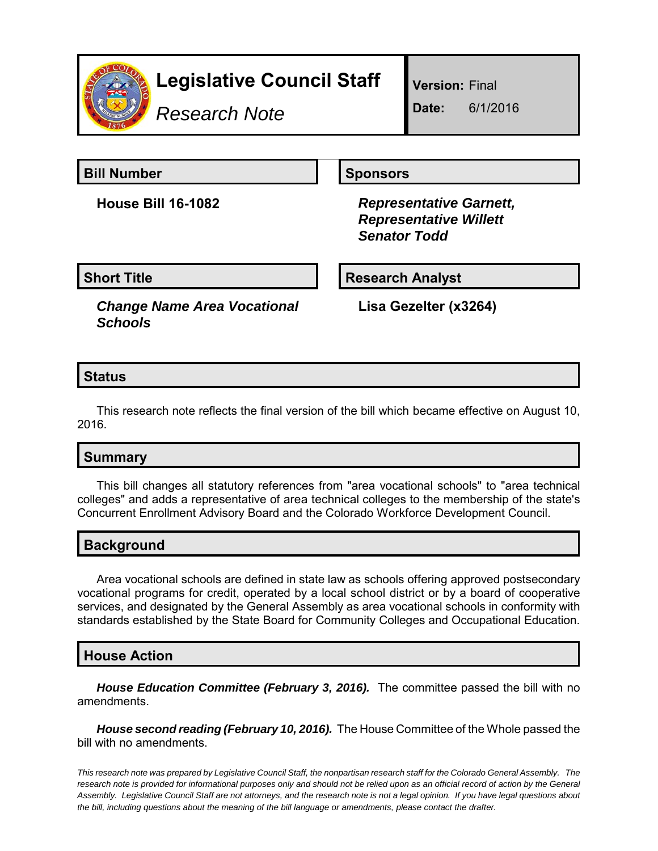

# **Legislative Council Staff**

*Research Note*

**Version:** Final

**Date:** 6/1/2016

**Bill Number Sponsors** 

**House Bill 16-1082** *Representative Garnett, Representative Willett Senator Todd*

**Short Title**  Research Analyst

*Change Name Area Vocational Schools*

**Lisa Gezelter (x3264)**

# **Status**

This research note reflects the final version of the bill which became effective on August 10, 2016.

# **Summary**

This bill changes all statutory references from "area vocational schools" to "area technical colleges" and adds a representative of area technical colleges to the membership of the state's Concurrent Enrollment Advisory Board and the Colorado Workforce Development Council.

# **Background**

Area vocational schools are defined in state law as schools offering approved postsecondary vocational programs for credit, operated by a local school district or by a board of cooperative services, and designated by the General Assembly as area vocational schools in conformity with standards established by the State Board for Community Colleges and Occupational Education.

#### **House Action**

*House Education Committee (February 3, 2016).* The committee passed the bill with no amendments.

*House second reading (February 10, 2016).* The House Committee of the Whole passed the bill with no amendments.

*This research note was prepared by Legislative Council Staff, the nonpartisan research staff for the Colorado General Assembly. The research note is provided for informational purposes only and should not be relied upon as an official record of action by the General Assembly. Legislative Council Staff are not attorneys, and the research note is not a legal opinion. If you have legal questions about the bill, including questions about the meaning of the bill language or amendments, please contact the drafter.*